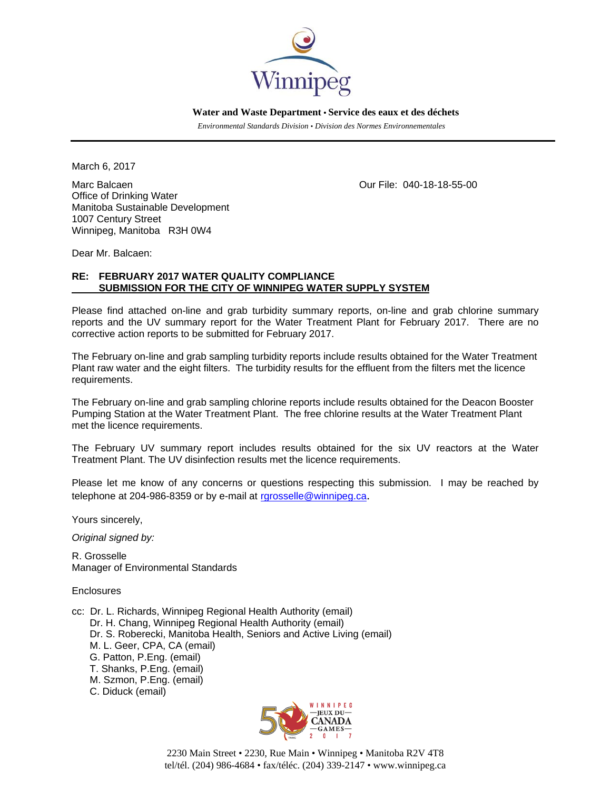

 **Water and Waste Department • Service des eaux et des déchets**

 *Environmental Standards Division • Division des Normes Environnementales* 

March 6, 2017

Marc Balcaen Our File: 040-18-18-55-00 Office of Drinking Water Manitoba Sustainable Development 1007 Century Street Winnipeg, Manitoba R3H 0W4

Dear Mr. Balcaen:

## **RE: FEBRUARY 2017 WATER QUALITY COMPLIANCE SUBMISSION FOR THE CITY OF WINNIPEG WATER SUPPLY SYSTEM**

Please find attached on-line and grab turbidity summary reports, on-line and grab chlorine summary reports and the UV summary report for the Water Treatment Plant for February 2017. There are no corrective action reports to be submitted for February 2017.

The February on-line and grab sampling turbidity reports include results obtained for the Water Treatment Plant raw water and the eight filters. The turbidity results for the effluent from the filters met the licence requirements.

The February on-line and grab sampling chlorine reports include results obtained for the Deacon Booster Pumping Station at the Water Treatment Plant. The free chlorine results at the Water Treatment Plant met the licence requirements.

The February UV summary report includes results obtained for the six UV reactors at the Water Treatment Plant. The UV disinfection results met the licence requirements.

Please let me know of any concerns or questions respecting this submission. I may be reached by telephone at 204-986-8359 or by e-mail at rgrosselle@winnipeg.ca.

Yours sincerely,

*Original signed by:* 

R. Grosselle Manager of Environmental Standards

Enclosures

- cc: Dr. L. Richards, Winnipeg Regional Health Authority (email) Dr. H. Chang, Winnipeg Regional Health Authority (email) Dr. S. Roberecki, Manitoba Health, Seniors and Active Living (email) M. L. Geer, CPA, CA (email) G. Patton, P.Eng. (email) T. Shanks, P.Eng. (email) M. Szmon, P.Eng. (email)
	- C. Diduck (email)



2230 Main Street • 2230, Rue Main • Winnipeg • Manitoba R2V 4T8 tel/tél. (204) 986-4684 • fax/téléc. (204) 339-2147 • www.winnipeg.ca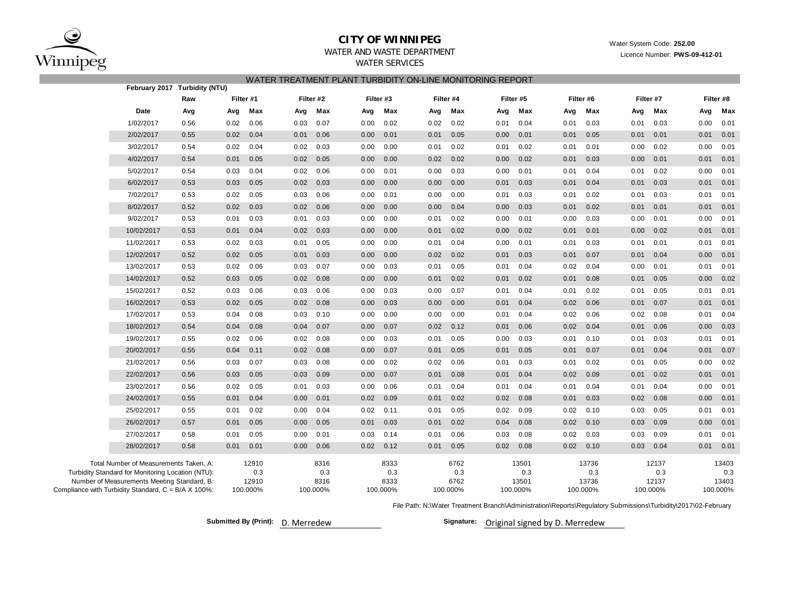

## **CITY OF WINNIPEG**

Water System Code: **252.00**

WATER AND WASTE DEPARTMENTWATER SERVICES

Licence Number: **PWS-09-412-01**

### WATER TREATMENT PLANT TURBIDITY ON-LINE MONITORING REPORT

|                                                     |                                                                                                                                            | February 2017 Turbidity (NTU) |      |                       |      |                     |      |                     |      |                     |      |                       |      |                       |      |                       |      |                       |
|-----------------------------------------------------|--------------------------------------------------------------------------------------------------------------------------------------------|-------------------------------|------|-----------------------|------|---------------------|------|---------------------|------|---------------------|------|-----------------------|------|-----------------------|------|-----------------------|------|-----------------------|
|                                                     |                                                                                                                                            | Raw                           |      | Filter #1             |      | Filter #2           |      | Filter #3           |      | Filter #4           |      | Filter #5             |      | Filter #6             |      | Filter #7             |      | Filter #8             |
|                                                     | Date                                                                                                                                       | Avg                           | Avg  | Max                   | Avg  | Max                 | Avg  | Max                 | Avg  | Max                 | Avg  | Max                   | Avg  | Max                   | Avg  | Max                   | Avg  | Max                   |
|                                                     | 1/02/2017                                                                                                                                  | 0.56                          | 0.02 | 0.06                  | 0.03 | 0.07                | 0.00 | 0.02                | 0.02 | 0.02                | 0.01 | 0.04                  | 0.01 | 0.03                  | 0.01 | 0.03                  | 0.00 | 0.01                  |
|                                                     | 2/02/2017                                                                                                                                  | 0.55                          | 0.02 | 0.04                  | 0.01 | 0.06                | 0.00 | 0.01                | 0.01 | 0.05                | 0.00 | 0.01                  | 0.01 | 0.05                  | 0.01 | 0.01                  | 0.01 | 0.01                  |
|                                                     | 3/02/2017                                                                                                                                  | 0.54                          | 0.02 | 0.04                  | 0.02 | 0.03                | 0.00 | 0.00                | 0.01 | 0.02                | 0.01 | 0.02                  | 0.01 | 0.01                  | 0.00 | 0.02                  | 0.00 | 0.01                  |
|                                                     | 4/02/2017                                                                                                                                  | 0.54                          | 0.01 | 0.05                  | 0.02 | 0.05                | 0.00 | 0.00                | 0.02 | 0.02                | 0.00 | 0.02                  | 0.01 | 0.03                  | 0.00 | 0.01                  | 0.01 | 0.01                  |
|                                                     | 5/02/2017                                                                                                                                  | 0.54                          | 0.03 | 0.04                  | 0.02 | 0.06                | 0.00 | 0.01                | 0.00 | 0.03                | 0.00 | 0.01                  | 0.01 | 0.04                  | 0.01 | 0.02                  | 0.00 | 0.01                  |
|                                                     | 6/02/2017                                                                                                                                  | 0.53                          | 0.03 | 0.05                  | 0.02 | 0.03                | 0.00 | 0.00                | 0.00 | 0.00                | 0.01 | 0.03                  | 0.01 | 0.04                  | 0.01 | 0.03                  | 0.01 | 0.01                  |
|                                                     | 7/02/2017                                                                                                                                  | 0.53                          | 0.02 | 0.05                  | 0.03 | 0.06                | 0.00 | 0.01                | 0.00 | 0.00                | 0.01 | 0.03                  | 0.01 | 0.02                  | 0.01 | 0.03                  | 0.01 | 0.01                  |
|                                                     | 8/02/2017                                                                                                                                  | 0.52                          | 0.02 | 0.03                  | 0.02 | 0.06                | 0.00 | 0.00                | 0.00 | 0.04                | 0.00 | 0.03                  | 0.01 | 0.02                  | 0.01 | 0.01                  | 0.01 | 0.01                  |
|                                                     | 9/02/2017                                                                                                                                  | 0.53                          | 0.01 | 0.03                  | 0.01 | 0.03                | 0.00 | 0.00                | 0.01 | 0.02                | 0.00 | 0.01                  | 0.00 | 0.03                  | 0.00 | 0.01                  | 0.00 | 0.01                  |
|                                                     | 10/02/2017                                                                                                                                 | 0.53                          | 0.01 | 0.04                  | 0.02 | 0.03                | 0.00 | 0.00                | 0.01 | 0.02                | 0.00 | 0.02                  | 0.01 | 0.01                  | 0.00 | 0.02                  | 0.01 | 0.01                  |
|                                                     | 11/02/2017                                                                                                                                 | 0.53                          | 0.02 | 0.03                  | 0.01 | 0.05                | 0.00 | 0.00                | 0.01 | 0.04                | 0.00 | 0.01                  | 0.01 | 0.03                  | 0.01 | 0.01                  | 0.01 | 0.01                  |
|                                                     | 12/02/2017                                                                                                                                 | 0.52                          | 0.02 | 0.05                  | 0.01 | 0.03                | 0.00 | 0.00                | 0.02 | 0.02                | 0.01 | 0.03                  | 0.01 | 0.07                  | 0.01 | 0.04                  | 0.00 | 0.01                  |
|                                                     | 13/02/2017                                                                                                                                 | 0.53                          | 0.02 | 0.06                  | 0.03 | 0.07                | 0.00 | 0.03                | 0.01 | 0.05                | 0.01 | 0.04                  | 0.02 | 0.04                  | 0.00 | 0.01                  | 0.01 | 0.01                  |
|                                                     | 14/02/2017                                                                                                                                 | 0.52                          | 0.03 | 0.05                  | 0.02 | 0.08                | 0.00 | 0.00                | 0.01 | 0.02                | 0.01 | 0.02                  | 0.01 | 0.08                  | 0.01 | 0.05                  | 0.00 | 0.02                  |
|                                                     | 15/02/2017                                                                                                                                 | 0.52                          | 0.03 | 0.06                  | 0.03 | 0.06                | 0.00 | 0.03                | 0.00 | 0.07                | 0.01 | 0.04                  | 0.01 | 0.02                  | 0.01 | 0.05                  | 0.01 | 0.01                  |
|                                                     | 16/02/2017                                                                                                                                 | 0.53                          | 0.02 | 0.05                  | 0.02 | 0.08                | 0.00 | 0.03                | 0.00 | 0.00                | 0.01 | 0.04                  | 0.02 | 0.06                  | 0.01 | 0.07                  | 0.01 | 0.01                  |
|                                                     | 17/02/2017                                                                                                                                 | 0.53                          | 0.04 | 0.08                  | 0.03 | 0.10                | 0.00 | 0.00                | 0.00 | 0.00                | 0.01 | 0.04                  | 0.02 | 0.06                  | 0.02 | 0.08                  | 0.01 | 0.04                  |
|                                                     | 18/02/2017                                                                                                                                 | 0.54                          | 0.04 | 0.08                  | 0.04 | 0.07                | 0.00 | 0.07                | 0.02 | 0.12                | 0.01 | 0.06                  | 0.02 | 0.04                  | 0.01 | 0.06                  | 0.00 | 0.03                  |
|                                                     | 19/02/2017                                                                                                                                 | 0.55                          | 0.02 | 0.06                  | 0.02 | 0.08                | 0.00 | 0.03                | 0.01 | 0.05                | 0.00 | 0.03                  | 0.01 | 0.10                  | 0.01 | 0.03                  | 0.01 | 0.01                  |
|                                                     | 20/02/2017                                                                                                                                 | 0.55                          | 0.04 | 0.11                  | 0.02 | 0.08                | 0.00 | 0.07                | 0.01 | 0.05                | 0.01 | 0.05                  | 0.01 | 0.07                  | 0.01 | 0.04                  | 0.01 | 0.07                  |
|                                                     | 21/02/2017                                                                                                                                 | 0.56                          | 0.03 | 0.07                  | 0.03 | 0.08                | 0.00 | 0.02                | 0.02 | 0.06                | 0.01 | 0.03                  | 0.01 | 0.02                  | 0.01 | 0.05                  | 0.00 | 0.02                  |
|                                                     | 22/02/2017                                                                                                                                 | 0.56                          | 0.03 | 0.05                  | 0.03 | 0.09                | 0.00 | 0.07                | 0.01 | 0.08                | 0.01 | 0.04                  | 0.02 | 0.09                  | 0.01 | 0.02                  | 0.01 | 0.01                  |
|                                                     | 23/02/2017                                                                                                                                 | 0.56                          | 0.02 | 0.05                  | 0.01 | 0.03                | 0.00 | 0.06                | 0.01 | 0.04                | 0.01 | 0.04                  | 0.01 | 0.04                  | 0.01 | 0.04                  | 0.00 | 0.01                  |
|                                                     | 24/02/2017                                                                                                                                 | 0.55                          | 0.01 | 0.04                  | 0.00 | 0.01                | 0.02 | 0.09                | 0.01 | 0.02                | 0.02 | 0.08                  | 0.01 | 0.03                  | 0.02 | 0.08                  | 0.00 | 0.01                  |
|                                                     | 25/02/2017                                                                                                                                 | 0.55                          | 0.01 | 0.02                  | 0.00 | 0.04                | 0.02 | 0.11                | 0.01 | 0.05                | 0.02 | 0.09                  | 0.02 | 0.10                  | 0.03 | 0.05                  | 0.01 | 0.01                  |
|                                                     | 26/02/2017                                                                                                                                 | 0.57                          | 0.01 | 0.05                  | 0.00 | 0.05                | 0.01 | 0.03                | 0.01 | 0.02                | 0.04 | 0.08                  | 0.02 | 0.10                  | 0.03 | 0.09                  | 0.00 | 0.01                  |
|                                                     | 27/02/2017                                                                                                                                 | 0.58                          | 0.01 | 0.05                  | 0.00 | 0.01                | 0.03 | 0.14                | 0.01 | 0.06                | 0.03 | 0.08                  | 0.02 | 0.03                  | 0.03 | 0.09                  | 0.01 | 0.01                  |
|                                                     | 28/02/2017                                                                                                                                 | 0.58                          | 0.01 | 0.01                  | 0.00 | 0.06                | 0.02 | 0.12                | 0.01 | 0.05                | 0.02 | 0.08                  | 0.02 | 0.10                  | 0.03 | 0.04                  | 0.01 | 0.01                  |
|                                                     | Total Number of Measurements Taken, A:<br>Turbidity Standard for Monitoring Location (NTU):<br>Number of Measurements Meeting Standard, B: |                               |      | 12910<br>0.3<br>12910 |      | 8316<br>0.3<br>8316 |      | 8333<br>0.3<br>8333 |      | 6762<br>0.3<br>6762 |      | 13501<br>0.3<br>13501 |      | 13736<br>0.3<br>13736 |      | 12137<br>0.3<br>12137 |      | 13403<br>0.3<br>13403 |
| Compliance with Turbidity Standard, C = B/A X 100%: |                                                                                                                                            |                               |      | 100.000%              |      | 100.000%            |      | 100.000%            |      | 100.000%            |      | 100.000%              |      | 100.000%              |      | 100.000%              |      | 100.000%              |

File Path: N:\Water Treatment Branch\Administration\Reports\Regulatory Submissions\Turbidity\2017\02-February

D.**Submitted By (Print): Signature:**

Signature: Original signed by D. Merredew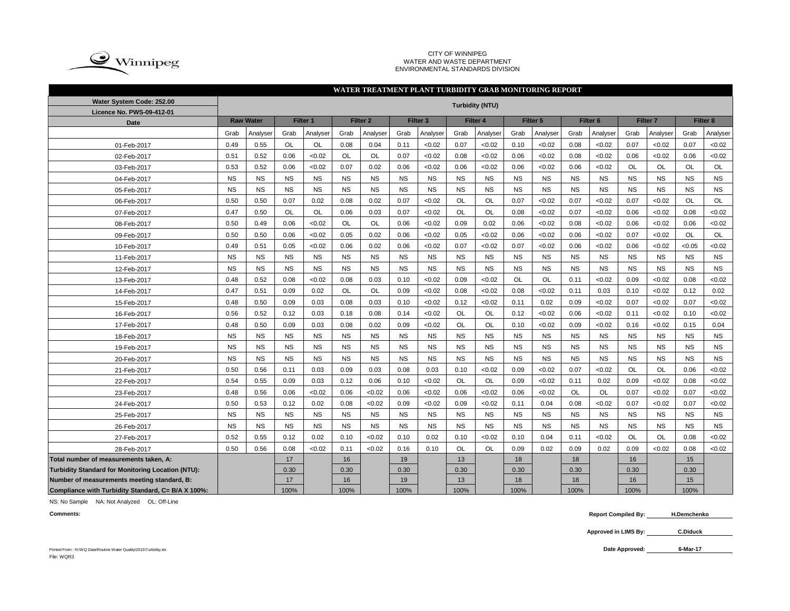

#### CITY OF WINNIPEG WATER AND WASTE DEPARTMENT ENVIRONMENTAL STANDARDS DIVISION

### **WATER TREATMENT PLANT TURBIDITY GRAB MONITORING REPORT**

| Water System Code: 252.00                          |           |                  |           |           |           |           |           |                     |           | <b>Turbidity (NTU)</b> |           |           |           |                     |           |                     |           |           |
|----------------------------------------------------|-----------|------------------|-----------|-----------|-----------|-----------|-----------|---------------------|-----------|------------------------|-----------|-----------|-----------|---------------------|-----------|---------------------|-----------|-----------|
| Licence No. PWS-09-412-01                          |           |                  |           |           |           |           |           |                     |           |                        |           |           |           |                     |           |                     |           |           |
| Date                                               |           | <b>Raw Water</b> |           | Filter 1  |           | Filter 2  |           | Filter <sub>3</sub> |           | Filter <sub>4</sub>    |           | Filter 5  |           | Filter <sub>6</sub> |           | Filter <sub>7</sub> |           | Filter 8  |
|                                                    | Grab      | Analyser         | Grab      | Analyser  | Grab      | Analyser  | Grab      | Analyser            | Grab      | Analyser               | Grab      | Analyser  | Grab      | Analyser            | Grab      | Analyser            | Grab      | Analyser  |
| 01-Feb-2017                                        | 0.49      | 0.55             | <b>OL</b> | OL        | 0.08      | 0.04      | 0.11      | < 0.02              | 0.07      | < 0.02                 | 0.10      | < 0.02    | 0.08      | <0.02               | 0.07      | < 0.02              | 0.07      | <0.02     |
| 02-Feb-2017                                        | 0.51      | 0.52             | 0.06      | < 0.02    | <b>OL</b> | <b>OL</b> | 0.07      | < 0.02              | 0.08      | < 0.02                 | 0.06      | < 0.02    | 0.08      | < 0.02              | 0.06      | < 0.02              | 0.06      | <0.02     |
| 03-Feb-2017                                        | 0.53      | 0.52             | 0.06      | < 0.02    | 0.07      | 0.02      | 0.06      | < 0.02              | 0.06      | < 0.02                 | 0.06      | < 0.02    | 0.06      | < 0.02              | <b>OL</b> | <b>OL</b>           | OL        | OL        |
| 04-Feb-2017                                        | <b>NS</b> | <b>NS</b>        | <b>NS</b> | <b>NS</b> | <b>NS</b> | <b>NS</b> | <b>NS</b> | <b>NS</b>           | <b>NS</b> | <b>NS</b>              | <b>NS</b> | <b>NS</b> | <b>NS</b> | <b>NS</b>           | <b>NS</b> | <b>NS</b>           | <b>NS</b> | <b>NS</b> |
| 05-Feb-2017                                        | <b>NS</b> | <b>NS</b>        | <b>NS</b> | <b>NS</b> | <b>NS</b> | <b>NS</b> | <b>NS</b> | <b>NS</b>           | <b>NS</b> | <b>NS</b>              | <b>NS</b> | <b>NS</b> | <b>NS</b> | <b>NS</b>           | <b>NS</b> | <b>NS</b>           | <b>NS</b> | <b>NS</b> |
| 06-Feb-2017                                        | 0.50      | 0.50             | 0.07      | 0.02      | 0.08      | 0.02      | 0.07      | < 0.02              | <b>OL</b> | OL                     | 0.07      | < 0.02    | 0.07      | < 0.02              | 0.07      | < 0.02              | <b>OL</b> | OL        |
| 07-Feb-2017                                        | 0.47      | 0.50             | <b>OL</b> | <b>OL</b> | 0.06      | 0.03      | 0.07      | < 0.02              | <b>OL</b> | OL                     | 0.08      | < 0.02    | 0.07      | < 0.02              | 0.06      | < 0.02              | 0.08      | < 0.02    |
| 08-Feb-2017                                        | 0.50      | 0.49             | 0.06      | < 0.02    | <b>OL</b> | <b>OL</b> | 0.06      | < 0.02              | 0.09      | 0.02                   | 0.06      | <0.02     | 0.08      | < 0.02              | 0.06      | < 0.02              | 0.06      | < 0.02    |
| 09-Feb-2017                                        | 0.50      | 0.50             | 0.06      | <0.02     | 0.05      | 0.02      | 0.06      | < 0.02              | 0.05      | < 0.02                 | 0.06      | < 0.02    | 0.06      | < 0.02              | 0.07      | < 0.02              | OL        | OL        |
| 10-Feb-2017                                        | 0.49      | 0.51             | 0.05      | <0.02     | 0.06      | 0.02      | 0.06      | < 0.02              | 0.07      | < 0.02                 | 0.07      | < 0.02    | 0.06      | < 0.02              | 0.06      | < 0.02              | < 0.05    | <0.02     |
| 11-Feb-2017                                        | <b>NS</b> | <b>NS</b>        | <b>NS</b> | <b>NS</b> | <b>NS</b> | <b>NS</b> | <b>NS</b> | <b>NS</b>           | <b>NS</b> | <b>NS</b>              | <b>NS</b> | <b>NS</b> | <b>NS</b> | <b>NS</b>           | <b>NS</b> | <b>NS</b>           | <b>NS</b> | <b>NS</b> |
| 12-Feb-2017                                        | <b>NS</b> | <b>NS</b>        | <b>NS</b> | <b>NS</b> | <b>NS</b> | <b>NS</b> | <b>NS</b> | <b>NS</b>           | <b>NS</b> | <b>NS</b>              | <b>NS</b> | <b>NS</b> | <b>NS</b> | <b>NS</b>           | <b>NS</b> | <b>NS</b>           | <b>NS</b> | <b>NS</b> |
| 13-Feb-2017                                        | 0.48      | 0.52             | 0.08      | <0.02     | 0.08      | 0.03      | 0.10      | < 0.02              | 0.09      | <0.02                  | OL        | OL        | 0.11      | < 0.02              | 0.09      | < 0.02              | 0.08      | < 0.02    |
| 14-Feb-2017                                        | 0.47      | 0.51             | 0.09      | 0.02      | <b>OL</b> | OL        | 0.09      | < 0.02              | 0.08      | < 0.02                 | 0.08      | < 0.02    | 0.11      | 0.03                | 0.10      | < 0.02              | 0.12      | 0.02      |
| 15-Feb-2017                                        | 0.48      | 0.50             | 0.09      | 0.03      | 0.08      | 0.03      | 0.10      | < 0.02              | 0.12      | < 0.02                 | 0.11      | 0.02      | 0.09      | < 0.02              | 0.07      | < 0.02              | 0.07      | <0.02     |
| 16-Feb-2017                                        | 0.56      | 0.52             | 0.12      | 0.03      | 0.18      | 0.08      | 0.14      | < 0.02              | OL        | OL                     | 0.12      | < 0.02    | 0.06      | < 0.02              | 0.11      | < 0.02              | 0.10      | <0.02     |
| 17-Feb-2017                                        | 0.48      | 0.50             | 0.09      | 0.03      | 0.08      | 0.02      | 0.09      | < 0.02              | OL        | OL                     | 0.10      | < 0.02    | 0.09      | < 0.02              | 0.16      | < 0.02              | 0.15      | 0.04      |
| 18-Feb-2017                                        | <b>NS</b> | <b>NS</b>        | <b>NS</b> | <b>NS</b> | <b>NS</b> | <b>NS</b> | <b>NS</b> | <b>NS</b>           | <b>NS</b> | <b>NS</b>              | <b>NS</b> | <b>NS</b> | <b>NS</b> | <b>NS</b>           | <b>NS</b> | <b>NS</b>           | <b>NS</b> | <b>NS</b> |
| 19-Feb-2017                                        | <b>NS</b> | <b>NS</b>        | <b>NS</b> | <b>NS</b> | <b>NS</b> | <b>NS</b> | <b>NS</b> | <b>NS</b>           | <b>NS</b> | <b>NS</b>              | <b>NS</b> | <b>NS</b> | <b>NS</b> | <b>NS</b>           | <b>NS</b> | <b>NS</b>           | <b>NS</b> | <b>NS</b> |
| 20-Feb-2017                                        | <b>NS</b> | <b>NS</b>        | <b>NS</b> | <b>NS</b> | <b>NS</b> | <b>NS</b> | <b>NS</b> | <b>NS</b>           | <b>NS</b> | <b>NS</b>              | <b>NS</b> | <b>NS</b> | <b>NS</b> | <b>NS</b>           | <b>NS</b> | <b>NS</b>           | <b>NS</b> | <b>NS</b> |
| 21-Feb-2017                                        | 0.50      | 0.56             | 0.11      | 0.03      | 0.09      | 0.03      | 0.08      | 0.03                | 0.10      | < 0.02                 | 0.09      | < 0.02    | 0.07      | < 0.02              | OL        | OL                  | 0.06      | < 0.02    |
| 22-Feb-2017                                        | 0.54      | 0.55             | 0.09      | 0.03      | 0.12      | 0.06      | 0.10      | < 0.02              | <b>OL</b> | OL                     | 0.09      | < 0.02    | 0.11      | 0.02                | 0.09      | < 0.02              | 0.08      | <0.02     |
| 23-Feb-2017                                        | 0.48      | 0.56             | 0.06      | < 0.02    | 0.06      | < 0.02    | 0.06      | < 0.02              | 0.06      | < 0.02                 | 0.06      | < 0.02    | <b>OL</b> | <b>OL</b>           | 0.07      | < 0.02              | 0.07      | <0.02     |
| 24-Feb-2017                                        | 0.50      | 0.53             | 0.12      | 0.02      | 0.08      | < 0.02    | 0.09      | < 0.02              | 0.09      | < 0.02                 | 0.11      | 0.04      | 0.08      | < 0.02              | 0.07      | < 0.02              | 0.07      | <0.02     |
| 25-Feb-2017                                        | <b>NS</b> | <b>NS</b>        | <b>NS</b> | <b>NS</b> | <b>NS</b> | <b>NS</b> | <b>NS</b> | <b>NS</b>           | <b>NS</b> | <b>NS</b>              | <b>NS</b> | <b>NS</b> | <b>NS</b> | <b>NS</b>           | <b>NS</b> | <b>NS</b>           | <b>NS</b> | <b>NS</b> |
| 26-Feb-2017                                        | <b>NS</b> | <b>NS</b>        | <b>NS</b> | <b>NS</b> | <b>NS</b> | <b>NS</b> | <b>NS</b> | <b>NS</b>           | <b>NS</b> | <b>NS</b>              | <b>NS</b> | <b>NS</b> | <b>NS</b> | <b>NS</b>           | <b>NS</b> | <b>NS</b>           | <b>NS</b> | <b>NS</b> |
| 27-Feb-2017                                        | 0.52      | 0.55             | 0.12      | 0.02      | 0.10      | < 0.02    | 0.10      | 0.02                | 0.10      | < 0.02                 | 0.10      | 0.04      | 0.11      | < 0.02              | <b>OL</b> | <b>OL</b>           | 0.08      | <0.02     |
| 28-Feb-2017                                        | 0.50      | 0.56             | 0.08      | <0.02     | 0.11      | < 0.02    | 0.16      | 0.10                | <b>OL</b> | <b>OL</b>              | 0.09      | 0.02      | 0.09      | 0.02                | 0.09      | <0.02               | 0.08      | < 0.02    |
| Total number of measurements taken, A:             |           |                  | 17        |           | 16        |           | 19        |                     | 13        |                        | 18        |           | 18        |                     | 16        |                     | 15        |           |
| Turbidity Standard for Monitoring Location (NTU):  |           |                  | 0.30      |           | 0.30      |           | 0.30      |                     | 0.30      |                        | 0.30      |           | 0.30      |                     | 0.30      |                     | 0.30      |           |
| Number of measurements meeting standard, B:        |           |                  | 17        |           | 16        |           | 19        |                     | 13        |                        | 18        |           | 18        |                     | 16        |                     | 15        |           |
| Compliance with Turbidity Standard, C= B/A X 100%: |           |                  | 100%      |           | 100%      |           | 100%      |                     | 100%      |                        | 100%      |           | 100%      |                     | 100%      |                     | 100%      |           |

NS: No Sample NA: Not Analyzed OL: Off-Line

**Comments: Report Compiled By: H.Demchenko**

> **Approved in LIMS By: C.Diduck**

> > **6-Mar-17**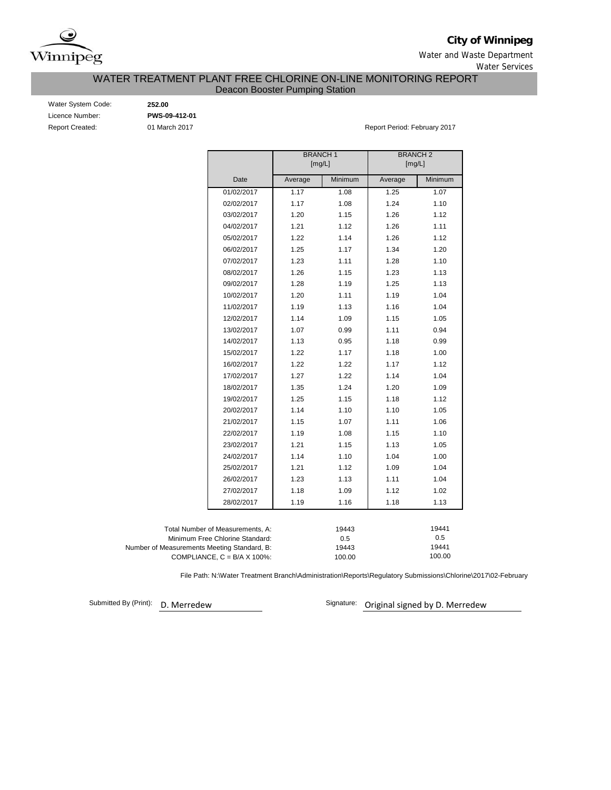

**City of Winnipeg**

Water and Waste Department Water Services

# Deacon Booster Pumping Station WATER TREATMENT PLANT FREE CHLORINE ON-LINE MONITORING REPORT

| Water System Code:     |
|------------------------|
| Licence Number:        |
| <b>Report Created:</b> |

Water System Code: **252.00** Licence Number: **PWS-09-412-01**

01 March 2017 **Report Period: February 2017** 

|                                             |                                      | <b>BRANCH1</b><br>[mg/L] |                 | <b>BRANCH2</b><br>[mg/L] |                 |
|---------------------------------------------|--------------------------------------|--------------------------|-----------------|--------------------------|-----------------|
|                                             | Date                                 | Average                  | Minimum         | Average                  | Minimum         |
|                                             | 01/02/2017                           | 1.17                     | 1.08            | 1.25                     | 1.07            |
|                                             | 02/02/2017                           | 1.17                     | 1.08            | 1.24                     | 1.10            |
|                                             | 03/02/2017                           | 1.20                     | 1.15            | 1.26                     | 1.12            |
|                                             | 04/02/2017                           | 1.21                     | 1.12            | 1.26                     | 1.11            |
|                                             | 05/02/2017                           | 1.22                     | 1.14            | 1.26                     | 1.12            |
|                                             | 06/02/2017                           | 1.25                     | 1.17            | 1.34                     | 1.20            |
|                                             | 07/02/2017                           | 1.23                     | 1.11            | 1.28                     | 1.10            |
|                                             | 08/02/2017                           | 1.26                     | 1.15            | 1.23                     | 1.13            |
|                                             | 09/02/2017                           | 1.28                     | 1.19            | 1.25                     | 1.13            |
|                                             | 10/02/2017                           | 1.20                     | 1.11            | 1.19                     | 1.04            |
|                                             | 11/02/2017                           | 1.19                     | 1.13            | 1.16                     | 1.04            |
|                                             | 12/02/2017                           | 1.14                     | 1.09            | 1.15                     | 1.05            |
|                                             | 13/02/2017                           | 1.07                     | 0.99            | 1.11                     | 0.94            |
|                                             | 14/02/2017                           | 1.13                     | 0.95            | 1.18                     | 0.99            |
|                                             | 15/02/2017                           | 1.22                     | 1.17            | 1.18                     | 1.00            |
|                                             | 16/02/2017                           | 1.22                     | 1.22            | 1.17                     | 1.12            |
|                                             | 17/02/2017                           | 1.27                     | 1.22            | 1.14                     | 1.04            |
|                                             | 18/02/2017                           | 1.35                     | 1.24            | 1.20                     | 1.09            |
|                                             | 19/02/2017                           | 1.25                     | 1.15            | 1.18                     | 1.12            |
|                                             | 20/02/2017                           | 1.14                     | 1.10            | 1.10                     | 1.05            |
|                                             | 21/02/2017                           | 1.15                     | 1.07            | 1.11                     | 1.06            |
|                                             | 22/02/2017                           | 1.19                     | 1.08            | 1.15                     | 1.10            |
|                                             | 23/02/2017                           | 1.21                     | 1.15            | 1.13                     | 1.05            |
|                                             | 24/02/2017                           | 1.14                     | 1.10            | 1.04                     | 1.00            |
|                                             | 25/02/2017                           | 1.21                     | 1.12            | 1.09                     | 1.04            |
|                                             | 26/02/2017                           | 1.23                     | 1.13            | 1.11                     | 1.04            |
|                                             | 27/02/2017                           | 1.18                     | 1.09            | 1.12                     | 1.02            |
|                                             | 28/02/2017                           | 1.19                     | 1.16            | 1.18                     | 1.13            |
|                                             |                                      |                          |                 |                          |                 |
|                                             | Total Number of Measurements, A:     |                          | 19443           |                          | 19441           |
|                                             | Minimum Free Chlorine Standard:      |                          | 0.5             |                          | 0.5             |
| Number of Measurements Meeting Standard, B: | COMPLIANCE, $C = B/A \times 100\%$ : |                          | 19443<br>100.00 |                          | 19441<br>100.00 |

File Path: N:\Water Treatment Branch\Administration\Reports\Regulatory Submissions\Chlorine\2017\02-February

Submitted By (Print): D. Merredew

Signature: Original signed by D. Merredew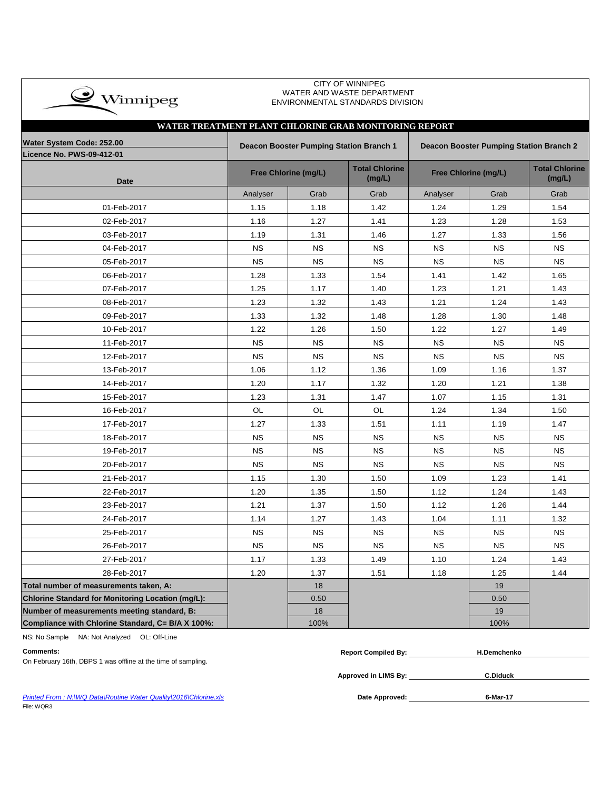| $\rightarrow$ Winnipeg |
|------------------------|
|                        |

### CITY OF WINNIPEG WATER AND WASTE DEPARTMENT ENVIRONMENTAL STANDARDS DIVISION

| WATER TREATMENT PLANT CHLORINE GRAB MONITORING REPORT    |           |                                         |                                 |           |                      |                                                |
|----------------------------------------------------------|-----------|-----------------------------------------|---------------------------------|-----------|----------------------|------------------------------------------------|
| Water System Code: 252.00<br>Licence No. PWS-09-412-01   |           | Deacon Booster Pumping Station Branch 1 |                                 |           |                      | <b>Deacon Booster Pumping Station Branch 2</b> |
| <b>Date</b>                                              |           | Free Chlorine (mg/L)                    | <b>Total Chlorine</b><br>(mg/L) |           | Free Chlorine (mg/L) | <b>Total Chlorine</b><br>(mg/L)                |
|                                                          | Analyser  | Grab                                    | Grab                            | Analyser  | Grab                 | Grab                                           |
| 01-Feb-2017                                              | 1.15      | 1.18                                    | 1.42                            | 1.24      | 1.29                 | 1.54                                           |
| 02-Feb-2017                                              | 1.16      | 1.27                                    | 1.41                            | 1.23      | 1.28                 | 1.53                                           |
| 03-Feb-2017                                              | 1.19      | 1.31                                    | 1.46                            | 1.27      | 1.33                 | 1.56                                           |
| 04-Feb-2017                                              | <b>NS</b> | <b>NS</b>                               | <b>NS</b>                       | <b>NS</b> | <b>NS</b>            | <b>NS</b>                                      |
| 05-Feb-2017                                              | <b>NS</b> | <b>NS</b>                               | <b>NS</b>                       | <b>NS</b> | <b>NS</b>            | NS                                             |
| 06-Feb-2017                                              | 1.28      | 1.33                                    | 1.54                            | 1.41      | 1.42                 | 1.65                                           |
| 07-Feb-2017                                              | 1.25      | 1.17                                    | 1.40                            | 1.23      | 1.21                 | 1.43                                           |
| 08-Feb-2017                                              | 1.23      | 1.32                                    | 1.43                            | 1.21      | 1.24                 | 1.43                                           |
| 09-Feb-2017                                              | 1.33      | 1.32                                    | 1.48                            | 1.28      | 1.30                 | 1.48                                           |
| 10-Feb-2017                                              | 1.22      | 1.26                                    | 1.50                            | 1.22      | 1.27                 | 1.49                                           |
| 11-Feb-2017                                              | <b>NS</b> | <b>NS</b>                               | <b>NS</b>                       | <b>NS</b> | <b>NS</b>            | <b>NS</b>                                      |
| 12-Feb-2017                                              | <b>NS</b> | <b>NS</b>                               | <b>NS</b>                       | <b>NS</b> | <b>NS</b>            | <b>NS</b>                                      |
| 13-Feb-2017                                              | 1.06      | 1.12                                    | 1.36                            | 1.09      | 1.16                 | 1.37                                           |
| 14-Feb-2017                                              | 1.20      | 1.17                                    | 1.32                            | 1.20      | 1.21                 | 1.38                                           |
| 15-Feb-2017                                              | 1.23      | 1.31                                    | 1.47                            | 1.07      | 1.15                 | 1.31                                           |
| 16-Feb-2017                                              | OL        | OL                                      | OL                              | 1.24      | 1.34                 | 1.50                                           |
| 17-Feb-2017                                              | 1.27      | 1.33                                    | 1.51                            | 1.11      | 1.19                 | 1.47                                           |
| 18-Feb-2017                                              | <b>NS</b> | <b>NS</b>                               | <b>NS</b>                       | <b>NS</b> | <b>NS</b>            | <b>NS</b>                                      |
| 19-Feb-2017                                              | <b>NS</b> | <b>NS</b>                               | <b>NS</b>                       | <b>NS</b> | <b>NS</b>            | <b>NS</b>                                      |
| 20-Feb-2017                                              | <b>NS</b> | <b>NS</b>                               | <b>NS</b>                       | <b>NS</b> | <b>NS</b>            | <b>NS</b>                                      |
| 21-Feb-2017                                              | 1.15      | 1.30                                    | 1.50                            | 1.09      | 1.23                 | 1.41                                           |
| 22-Feb-2017                                              | 1.20      | 1.35                                    | 1.50                            | 1.12      | 1.24                 | 1.43                                           |
| 23-Feb-2017                                              | 1.21      | 1.37                                    | 1.50                            | 1.12      | 1.26                 | 1.44                                           |
| 24-Feb-2017                                              | 1.14      | 1.27                                    | 1.43                            | 1.04      | 1.11                 | 1.32                                           |
| 25-Feb-2017                                              | <b>NS</b> | <b>NS</b>                               | <b>NS</b>                       | <b>NS</b> | <b>NS</b>            | <b>NS</b>                                      |
| 26-Feb-2017                                              | <b>NS</b> | <b>NS</b>                               | <b>NS</b>                       | <b>NS</b> | <b>NS</b>            | <b>NS</b>                                      |
| 27-Feb-2017                                              | 1.17      | 1.33                                    | 1.49                            | 1.10      | 1.24                 | 1.43                                           |
| 28-Feb-2017                                              | 1.20      | 1.37                                    | 1.51                            | 1.18      | 1.25                 | 1.44                                           |
| Total number of measurements taken, A:                   |           | 18                                      |                                 |           | 19                   |                                                |
| <b>Chlorine Standard for Monitoring Location (mg/L):</b> |           | 0.50                                    |                                 |           | 0.50                 |                                                |
| Number of measurements meeting standard, B:              |           | 18                                      |                                 |           | 19                   |                                                |
| Compliance with Chlorine Standard, C= B/A X 100%:        |           | 100%                                    |                                 |           | 100%                 |                                                |

NS: No Sample NA: Not Analyzed OL: Off-Line

| Comments:                                                     | <b>Report Compiled By:</b> | <b>H.Demchenko</b> |
|---------------------------------------------------------------|----------------------------|--------------------|
| On February 16th, DBPS 1 was offline at the time of sampling. |                            |                    |

**Approved in LIMS By: C.Diduck**

**Printed From : N:\WQ Data\Routine Water Quality\2016\Chlorine.xls** File: WQR3

Date Approved: **1998** 6-Mar-17